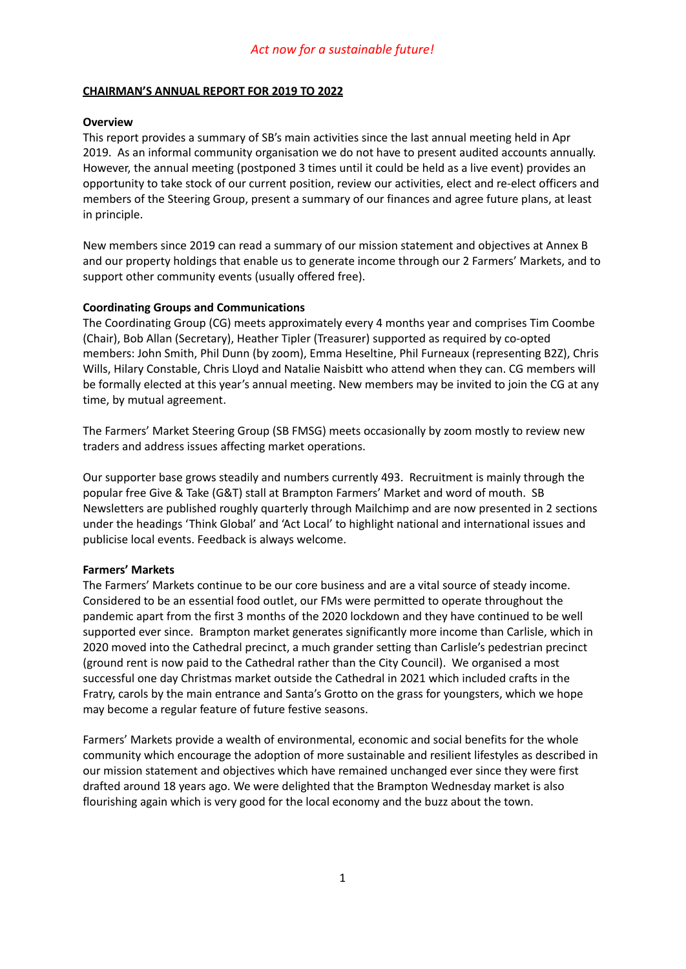### **CHAIRMAN'S ANNUAL REPORT FOR 2019 TO 2022**

### **Overview**

This report provides a summary of SB's main activities since the last annual meeting held in Apr 2019. As an informal community organisation we do not have to present audited accounts annually. However, the annual meeting (postponed 3 times until it could be held as a live event) provides an opportunity to take stock of our current position, review our activities, elect and re-elect officers and members of the Steering Group, present a summary of our finances and agree future plans, at least in principle.

New members since 2019 can read a summary of our mission statement and objectives at Annex B and our property holdings that enable us to generate income through our 2 Farmers' Markets, and to support other community events (usually offered free).

### **Coordinating Groups and Communications**

The Coordinating Group (CG) meets approximately every 4 months year and comprises Tim Coombe (Chair), Bob Allan (Secretary), Heather Tipler (Treasurer) supported as required by co-opted members: John Smith, Phil Dunn (by zoom), Emma Heseltine, Phil Furneaux (representing B2Z), Chris Wills, Hilary Constable, Chris Lloyd and Natalie Naisbitt who attend when they can. CG members will be formally elected at this year's annual meeting. New members may be invited to join the CG at any time, by mutual agreement.

The Farmers' Market Steering Group (SB FMSG) meets occasionally by zoom mostly to review new traders and address issues affecting market operations.

Our supporter base grows steadily and numbers currently 493. Recruitment is mainly through the popular free Give & Take (G&T) stall at Brampton Farmers' Market and word of mouth. SB Newsletters are published roughly quarterly through Mailchimp and are now presented in 2 sections under the headings 'Think Global' and 'Act Local' to highlight national and international issues and publicise local events. Feedback is always welcome.

### **Farmers' Markets**

The Farmers' Markets continue to be our core business and are a vital source of steady income. Considered to be an essential food outlet, our FMs were permitted to operate throughout the pandemic apart from the first 3 months of the 2020 lockdown and they have continued to be well supported ever since. Brampton market generates significantly more income than Carlisle, which in 2020 moved into the Cathedral precinct, a much grander setting than Carlisle's pedestrian precinct (ground rent is now paid to the Cathedral rather than the City Council). We organised a most successful one day Christmas market outside the Cathedral in 2021 which included crafts in the Fratry, carols by the main entrance and Santa's Grotto on the grass for youngsters, which we hope may become a regular feature of future festive seasons.

Farmers' Markets provide a wealth of environmental, economic and social benefits for the whole community which encourage the adoption of more sustainable and resilient lifestyles as described in our mission statement and objectives which have remained unchanged ever since they were first drafted around 18 years ago. We were delighted that the Brampton Wednesday market is also flourishing again which is very good for the local economy and the buzz about the town.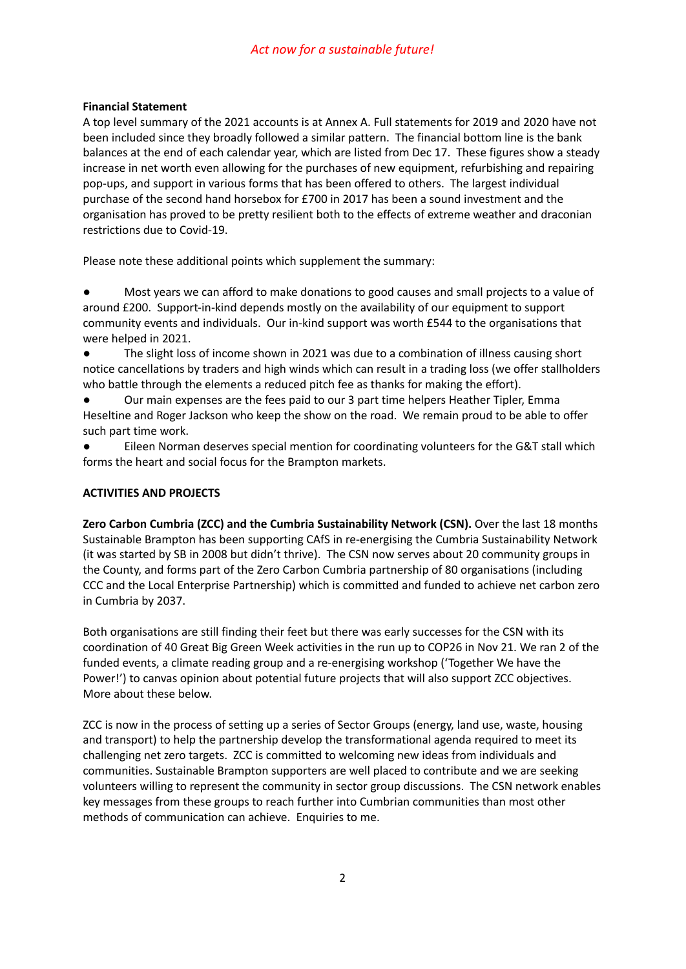## **Financial Statement**

A top level summary of the 2021 accounts is at Annex A. Full statements for 2019 and 2020 have not been included since they broadly followed a similar pattern. The financial bottom line is the bank balances at the end of each calendar year, which are listed from Dec 17. These figures show a steady increase in net worth even allowing for the purchases of new equipment, refurbishing and repairing pop-ups, and support in various forms that has been offered to others. The largest individual purchase of the second hand horsebox for £700 in 2017 has been a sound investment and the organisation has proved to be pretty resilient both to the effects of extreme weather and draconian restrictions due to Covid-19.

Please note these additional points which supplement the summary:

Most years we can afford to make donations to good causes and small projects to a value of around £200. Support-in-kind depends mostly on the availability of our equipment to support community events and individuals. Our in-kind support was worth £544 to the organisations that were helped in 2021.

The slight loss of income shown in 2021 was due to a combination of illness causing short notice cancellations by traders and high winds which can result in a trading loss (we offer stallholders who battle through the elements a reduced pitch fee as thanks for making the effort).

Our main expenses are the fees paid to our 3 part time helpers Heather Tipler, Emma Heseltine and Roger Jackson who keep the show on the road. We remain proud to be able to offer such part time work.

Eileen Norman deserves special mention for coordinating volunteers for the G&T stall which forms the heart and social focus for the Brampton markets.

### **ACTIVITIES AND PROJECTS**

**Zero Carbon Cumbria (ZCC) and the Cumbria Sustainability Network (CSN).** Over the last 18 months Sustainable Brampton has been supporting CAfS in re-energising the Cumbria Sustainability Network (it was started by SB in 2008 but didn't thrive). The CSN now serves about 20 community groups in the County, and forms part of the Zero Carbon Cumbria partnership of 80 organisations (including CCC and the Local Enterprise Partnership) which is committed and funded to achieve net carbon zero in Cumbria by 2037.

Both organisations are still finding their feet but there was early successes for the CSN with its coordination of 40 Great Big Green Week activities in the run up to COP26 in Nov 21. We ran 2 of the funded events, a climate reading group and a re-energising workshop ('Together We have the Power!') to canvas opinion about potential future projects that will also support ZCC objectives. More about these below.

ZCC is now in the process of setting up a series of Sector Groups (energy, land use, waste, housing and transport) to help the partnership develop the transformational agenda required to meet its challenging net zero targets. ZCC is committed to welcoming new ideas from individuals and communities. Sustainable Brampton supporters are well placed to contribute and we are seeking volunteers willing to represent the community in sector group discussions. The CSN network enables key messages from these groups to reach further into Cumbrian communities than most other methods of communication can achieve. Enquiries to me.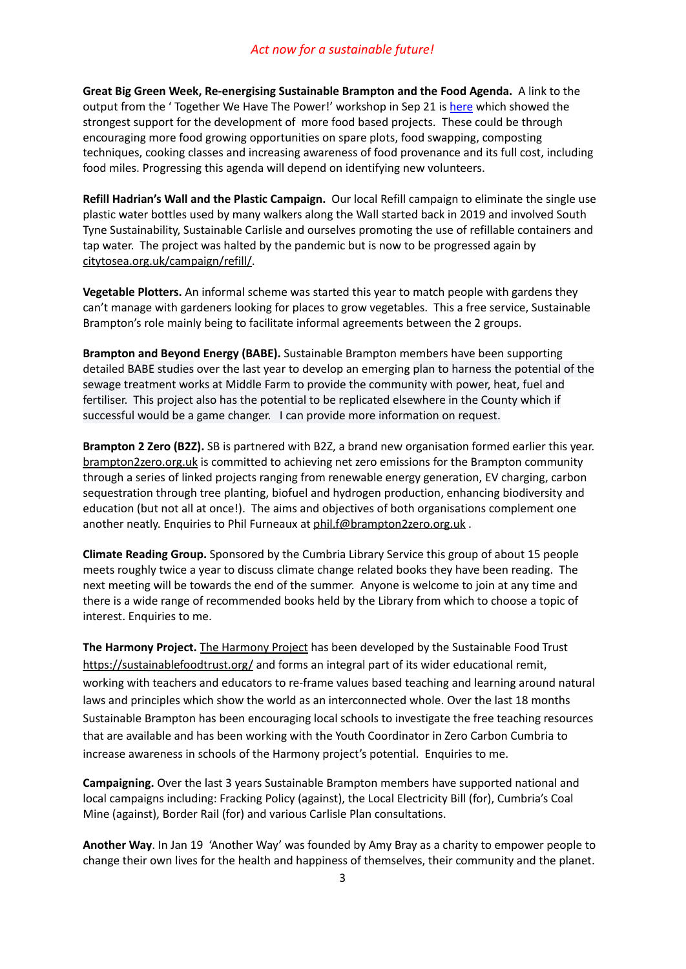**Great Big Green Week, Re-energising Sustainable Brampton and the Food Agenda.** A link to the output from the 'Together We Have The Power!' workshop in Sep 21 is [here](https://docs.google.com/document/d/1eEo9-GLbM0MLJ-_rhmh2U-uMDbOUREb4/edit?usp=sharing&ouid=113330100266076669300&rtpof=true&sd=true) which showed the strongest support for the development of more food based projects. These could be through encouraging more food growing opportunities on spare plots, food swapping, composting techniques, cooking classes and increasing awareness of food provenance and its full cost, including food miles. Progressing this agenda will depend on identifying new volunteers.

**Refill Hadrian's Wall and the Plastic Campaign.** Our local Refill campaign to eliminate the single use plastic water bottles used by many walkers along the Wall started back in 2019 and involved South Tyne Sustainability, Sustainable Carlisle and ourselves promoting the use of refillable containers and tap water. The project was halted by the pandemic but is now to be progressed again by [citytosea.org.uk/campaign/refill/.](https://www.citytosea.org.uk/campaign/refill/)

**Vegetable Plotters.** An informal scheme was started this year to match people with gardens they can't manage with gardeners looking for places to grow vegetables. This a free service, Sustainable Brampton's role mainly being to facilitate informal agreements between the 2 groups.

**Brampton and Beyond Energy (BABE).** Sustainable Brampton members have been supporting detailed BABE studies over the last year to develop an emerging plan to harness the potential of the sewage treatment works at Middle Farm to provide the community with power, heat, fuel and fertiliser. This project also has the potential to be replicated elsewhere in the County which if successful would be a game changer. I can provide more information on request.

**Brampton 2 Zero (B2Z).** SB is partnered with B2Z, a brand new organisation formed earlier this year. [brampton2zero.org.uk](https://www.brampton2zero.org.uk/about) is committed to achieving net zero emissions for the Brampton community through a series of linked projects ranging from renewable energy generation, EV charging, carbon sequestration through tree planting, biofuel and hydrogen production, enhancing biodiversity and education (but not all at once!). The aims and objectives of both organisations complement one another neatly. Enquiries to Phil Furneaux at [phil.f@brampton2zero.org.uk](mailto:phil.f@brampton2zero.org.uk).

**Climate Reading Group.** Sponsored by the Cumbria Library Service this group of about 15 people meets roughly twice a year to discuss climate change related books they have been reading. The next meeting will be towards the end of the summer. Anyone is welcome to join at any time and there is a wide range of recommended books held by the Library from which to choose a topic of interest. Enquiries to me.

**The Harmony Project.** The [Harmony](https://sustainablefoodtrust.us4.list-manage.com/track/click?u=a1599a7137782bb19e9bcdf10&id=7a99bdabe0&e=bacd9d521c) Project has been developed by the Sustainable Food Trust <https://sustainablefoodtrust.org/> and forms an integral part of its wider educational remit, working with teachers and educators to re-frame values based teaching and learning around natural laws and principles which show the world as an interconnected whole. Over the last 18 months Sustainable Brampton has been encouraging local schools to investigate the free teaching resources that are available and has been working with the Youth Coordinator in Zero Carbon Cumbria to increase awareness in schools of the Harmony project's potential. Enquiries to me.

**Campaigning.** Over the last 3 years Sustainable Brampton members have supported national and local campaigns including: Fracking Policy (against), the Local Electricity Bill (for), Cumbria's Coal Mine (against), Border Rail (for) and various Carlisle Plan consultations.

**Another Way**. In Jan 19 'Another Way' was founded by Amy Bray as a charity to empower people to change their own lives for the health and happiness of themselves, their community and the planet.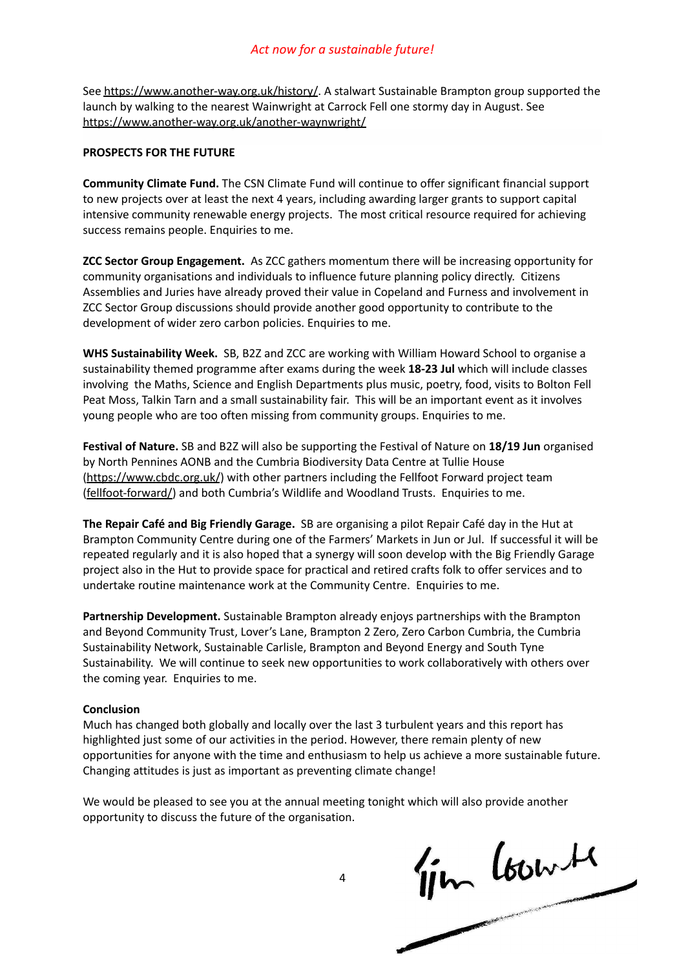See <https://www.another-way.org.uk/history/>. A stalwart Sustainable Brampton group supported the launch by walking to the nearest Wainwright at Carrock Fell one stormy day in August. See <https://www.another-way.org.uk/another-waynwright/>

### **PROSPECTS FOR THE FUTURE**

**Community Climate Fund.** The CSN Climate Fund will continue to offer significant financial support to new projects over at least the next 4 years, including awarding larger grants to support capital intensive community renewable energy projects. The most critical resource required for achieving success remains people. Enquiries to me.

**ZCC Sector Group Engagement.** As ZCC gathers momentum there will be increasing opportunity for community organisations and individuals to influence future planning policy directly. Citizens Assemblies and Juries have already proved their value in Copeland and Furness and involvement in ZCC Sector Group discussions should provide another good opportunity to contribute to the development of wider zero carbon policies. Enquiries to me.

**WHS Sustainability Week.** SB, B2Z and ZCC are working with William Howard School to organise a sustainability themed programme after exams during the week **18-23 Jul** which will include classes involving the Maths, Science and English Departments plus music, poetry, food, visits to Bolton Fell Peat Moss, Talkin Tarn and a small sustainability fair. This will be an important event as it involves young people who are too often missing from community groups. Enquiries to me.

**Festival of Nature.** SB and B2Z will also be supporting the Festival of Nature on **18/19 Jun** organised by North Pennines AONB and the Cumbria Biodiversity Data Centre at Tullie House [\(https://www.cbdc.org.uk/](https://www.cbdc.org.uk/)) with other partners including the Fellfoot Forward project team [\(fellfoot-forward/\)](https://www.northpennines.org.uk/what_we_do/fellfoot-forward/) and both Cumbria's Wildlife and Woodland Trusts. Enquiries to me.

**The Repair Café and Big Friendly Garage.** SB are organising a pilot Repair Café day in the Hut at Brampton Community Centre during one of the Farmers' Markets in Jun or Jul. If successful it will be repeated regularly and it is also hoped that a synergy will soon develop with the Big Friendly Garage project also in the Hut to provide space for practical and retired crafts folk to offer services and to undertake routine maintenance work at the Community Centre. Enquiries to me.

**Partnership Development.** Sustainable Brampton already enjoys partnerships with the Brampton and Beyond Community Trust, Lover's Lane, Brampton 2 Zero, Zero Carbon Cumbria, the Cumbria Sustainability Network, Sustainable Carlisle, Brampton and Beyond Energy and South Tyne Sustainability. We will continue to seek new opportunities to work collaboratively with others over the coming year. Enquiries to me.

### **Conclusion**

Much has changed both globally and locally over the last 3 turbulent years and this report has highlighted just some of our activities in the period. However, there remain plenty of new opportunities for anyone with the time and enthusiasm to help us achieve a more sustainable future. Changing attitudes is just as important as preventing climate change!

opportunity to discuss the future of the organisation.

We would be pleased to see you at the annual meeting tonight which will also provide another<br>opportunity to discuss the future of the organisation.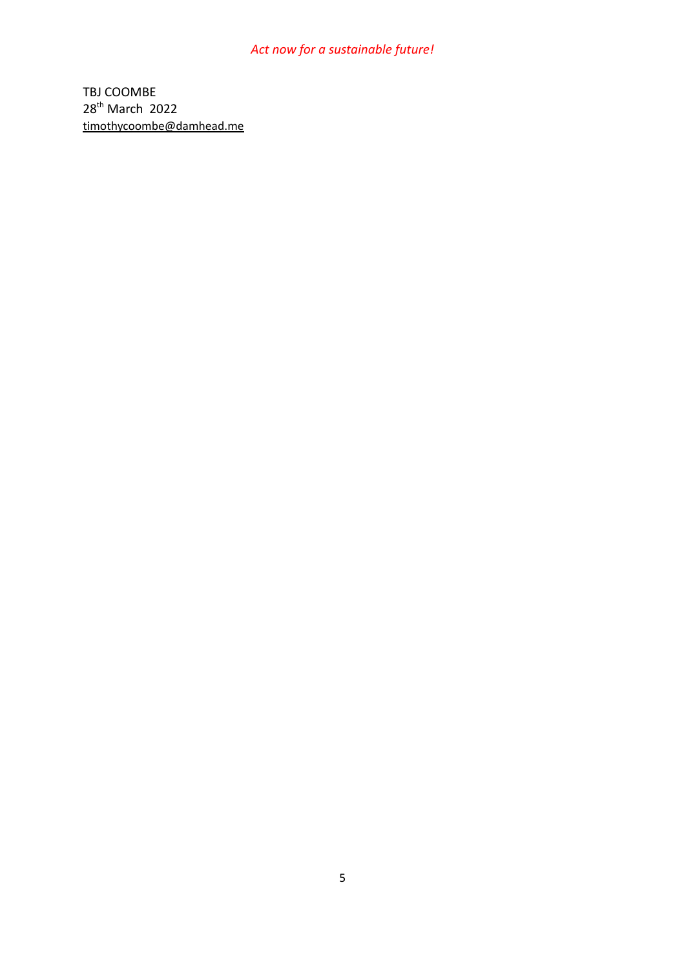## *Act now for a sustainable future!*

TBJ COOMBE 28<sup>th</sup> March 2022 [timothycoombe@damhead.me](mailto:timothycoombe@damhead.me)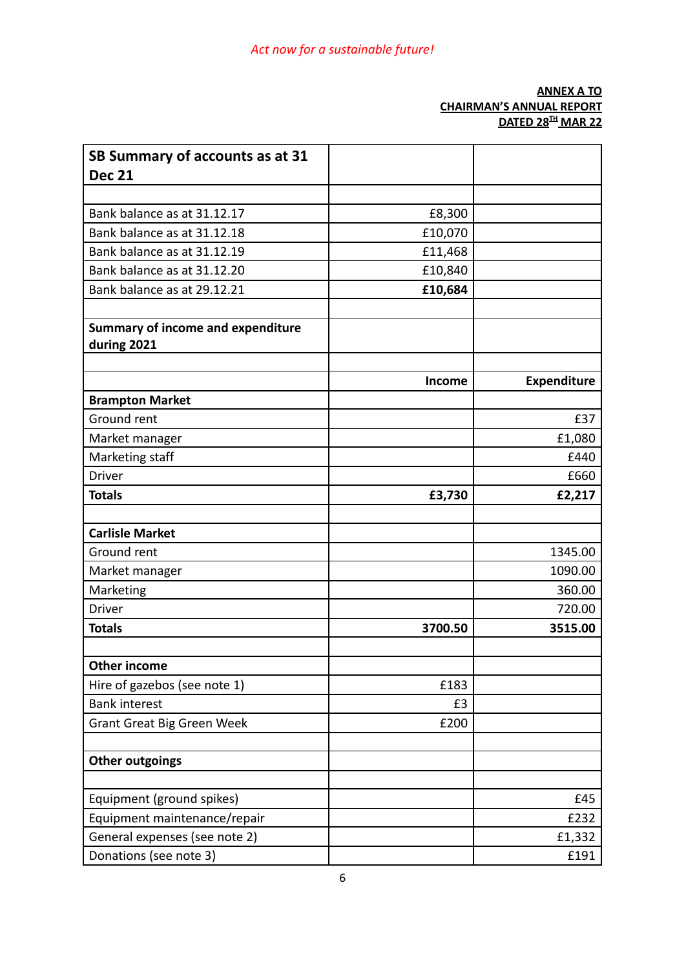## **ANNEX A TO CHAIRMAN'S ANNUAL REPORT DATED 28 TH MAR 22**

| SB Summary of accounts as at 31                         |         |                    |
|---------------------------------------------------------|---------|--------------------|
| <b>Dec 21</b>                                           |         |                    |
| Bank balance as at 31.12.17                             |         |                    |
|                                                         | £8,300  |                    |
| Bank balance as at 31.12.18                             | £10,070 |                    |
| Bank balance as at 31.12.19                             | £11,468 |                    |
| Bank balance as at 31.12.20                             | £10,840 |                    |
| Bank balance as at 29.12.21                             | £10,684 |                    |
| <b>Summary of income and expenditure</b><br>during 2021 |         |                    |
|                                                         | Income  | <b>Expenditure</b> |
| <b>Brampton Market</b>                                  |         |                    |
| Ground rent                                             |         | £37                |
| Market manager                                          |         | £1,080             |
| Marketing staff                                         |         | £440               |
| <b>Driver</b>                                           |         | £660               |
| <b>Totals</b>                                           | £3,730  | £2,217             |
|                                                         |         |                    |
| <b>Carlisle Market</b>                                  |         |                    |
| Ground rent                                             |         | 1345.00            |
| Market manager                                          |         | 1090.00            |
| Marketing                                               |         | 360.00             |
| <b>Driver</b>                                           |         | 720.00             |
| <b>Totals</b>                                           | 3700.50 | 3515.00            |
|                                                         |         |                    |
| <b>Other income</b>                                     |         |                    |
| Hire of gazebos (see note 1)                            | £183    |                    |
| <b>Bank interest</b>                                    | £3      |                    |
| <b>Grant Great Big Green Week</b>                       | £200    |                    |
| <b>Other outgoings</b>                                  |         |                    |
|                                                         |         |                    |
| Equipment (ground spikes)                               |         | £45                |
| Equipment maintenance/repair                            |         | £232               |
| General expenses (see note 2)                           |         | £1,332             |
| Donations (see note 3)                                  |         | £191               |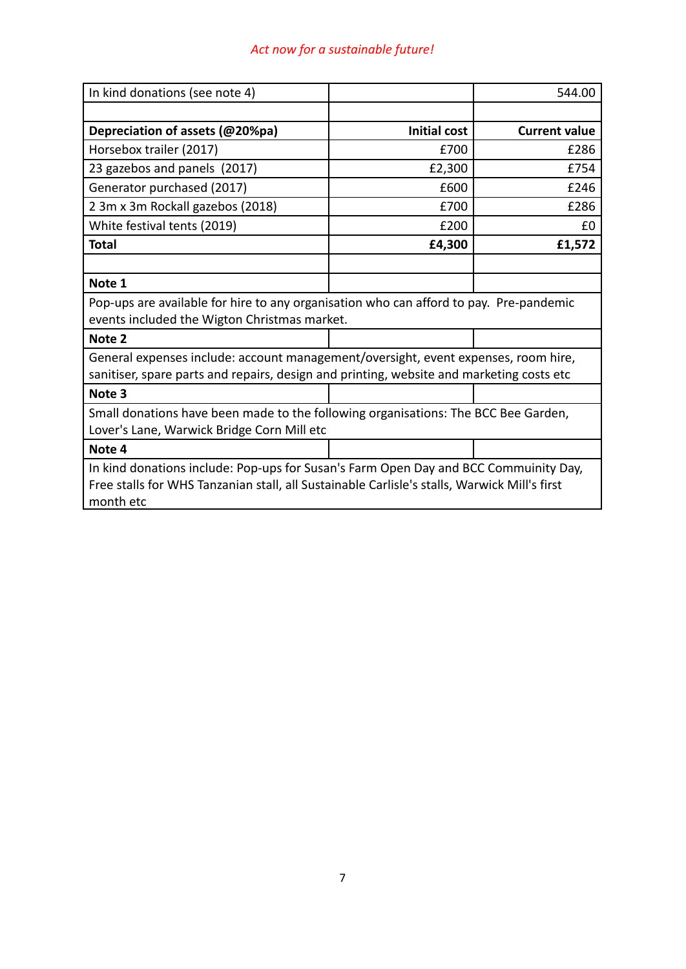# *Act now for a sustainable future!*

| In kind donations (see note 4)                                                               |                     | 544.00               |  |
|----------------------------------------------------------------------------------------------|---------------------|----------------------|--|
|                                                                                              |                     |                      |  |
| Depreciation of assets (@20%pa)                                                              | <b>Initial cost</b> | <b>Current value</b> |  |
| Horsebox trailer (2017)                                                                      | £700                | £286                 |  |
| 23 gazebos and panels (2017)                                                                 | £2,300              | £754                 |  |
| Generator purchased (2017)                                                                   | £600                | £246                 |  |
| 2 3m x 3m Rockall gazebos (2018)                                                             | £700                | £286                 |  |
| White festival tents (2019)                                                                  | £200                | f0                   |  |
| <b>Total</b>                                                                                 | £4,300              | £1,572               |  |
|                                                                                              |                     |                      |  |
| Note 1                                                                                       |                     |                      |  |
| Pop-ups are available for hire to any organisation who can afford to pay. Pre-pandemic       |                     |                      |  |
| events included the Wigton Christmas market.                                                 |                     |                      |  |
| Note 2                                                                                       |                     |                      |  |
| General expenses include: account management/oversight, event expenses, room hire,           |                     |                      |  |
| sanitiser, spare parts and repairs, design and printing, website and marketing costs etc     |                     |                      |  |
| Note 3                                                                                       |                     |                      |  |
| Small donations have been made to the following organisations: The BCC Bee Garden,           |                     |                      |  |
| Lover's Lane, Warwick Bridge Corn Mill etc                                                   |                     |                      |  |
| Note 4                                                                                       |                     |                      |  |
| In kind donations include: Pop-ups for Susan's Farm Open Day and BCC Commuinity Day,         |                     |                      |  |
| Free stalls for WHS Tanzanian stall, all Sustainable Carlisle's stalls, Warwick Mill's first |                     |                      |  |
| month etc                                                                                    |                     |                      |  |